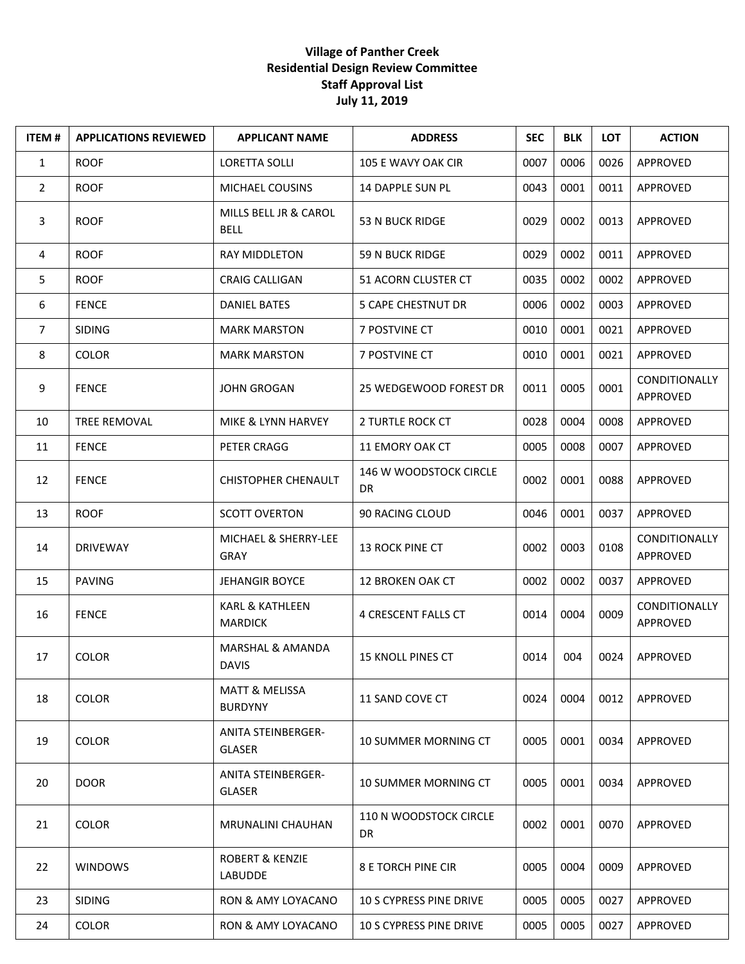## **Village of Panther Creek Residential Design Review Committee Staff Approval List July 11, 2019**

| <b>ITEM#</b>   | <b>APPLICATIONS REVIEWED</b> | <b>APPLICANT NAME</b>                        | <b>ADDRESS</b>                             | <b>SEC</b> | <b>BLK</b> | <b>LOT</b> | <b>ACTION</b>                    |
|----------------|------------------------------|----------------------------------------------|--------------------------------------------|------------|------------|------------|----------------------------------|
| $\mathbf{1}$   | <b>ROOF</b>                  | <b>LORETTA SOLLI</b>                         | 105 E WAVY OAK CIR                         | 0007       | 0006       | 0026       | APPROVED                         |
| $\overline{2}$ | <b>ROOF</b>                  | MICHAEL COUSINS                              | 14 DAPPLE SUN PL                           | 0043       | 0001       | 0011       | APPROVED                         |
| 3              | <b>ROOF</b>                  | MILLS BELL JR & CAROL<br><b>BELL</b>         | <b>53 N BUCK RIDGE</b>                     | 0029       | 0002       | 0013       | APPROVED                         |
| 4              | <b>ROOF</b>                  | <b>RAY MIDDLETON</b>                         | <b>59 N BUCK RIDGE</b>                     | 0029       | 0002       | 0011       | APPROVED                         |
| 5              | <b>ROOF</b>                  | <b>CRAIG CALLIGAN</b>                        | 51 ACORN CLUSTER CT                        | 0035       | 0002       | 0002       | APPROVED                         |
| 6              | <b>FENCE</b>                 | <b>DANIEL BATES</b>                          | <b>5 CAPE CHESTNUT DR</b>                  | 0006       | 0002       | 0003       | APPROVED                         |
| $\overline{7}$ | <b>SIDING</b>                | <b>MARK MARSTON</b>                          | 7 POSTVINE CT                              | 0010       | 0001       | 0021       | APPROVED                         |
| 8              | <b>COLOR</b>                 | <b>MARK MARSTON</b>                          | 7 POSTVINE CT                              | 0010       | 0001       | 0021       | APPROVED                         |
| 9              | <b>FENCE</b>                 | <b>JOHN GROGAN</b>                           | 25 WEDGEWOOD FOREST DR                     | 0011       | 0005       | 0001       | <b>CONDITIONALLY</b><br>APPROVED |
| 10             | <b>TREE REMOVAL</b>          | MIKE & LYNN HARVEY                           | 2 TURTLE ROCK CT                           | 0028       | 0004       | 0008       | APPROVED                         |
| 11             | <b>FENCE</b>                 | PETER CRAGG                                  | 11 EMORY OAK CT                            | 0005       | 0008       | 0007       | APPROVED                         |
| 12             | <b>FENCE</b>                 | <b>CHISTOPHER CHENAULT</b>                   | <b>146 W WOODSTOCK CIRCLE</b><br>DR        | 0002       | 0001       | 0088       | APPROVED                         |
| 13             | <b>ROOF</b>                  | <b>SCOTT OVERTON</b>                         | 90 RACING CLOUD                            | 0046       | 0001       | 0037       | APPROVED                         |
| 14             | <b>DRIVEWAY</b>              | MICHAEL & SHERRY-LEE<br>GRAY                 | 13 ROCK PINE CT                            | 0002       | 0003       | 0108       | <b>CONDITIONALLY</b><br>APPROVED |
| 15             | <b>PAVING</b>                | <b>JEHANGIR BOYCE</b>                        | <b>12 BROKEN OAK CT</b>                    | 0002       | 0002       | 0037       | APPROVED                         |
| 16             | <b>FENCE</b>                 | <b>KARL &amp; KATHLEEN</b><br><b>MARDICK</b> | 4 CRESCENT FALLS CT                        | 0014       | 0004       | 0009       | <b>CONDITIONALLY</b><br>APPROVED |
| 17             | <b>COLOR</b>                 | MARSHAL & AMANDA<br><b>DAVIS</b>             | 15 KNOLL PINES CT                          | 0014       | 004        | 0024       | APPROVED                         |
| 18             | <b>COLOR</b>                 | <b>MATT &amp; MELISSA</b><br><b>BURDYNY</b>  | 11 SAND COVE CT                            | 0024       | 0004       | 0012       | APPROVED                         |
| 19             | <b>COLOR</b>                 | <b>ANITA STEINBERGER-</b><br><b>GLASER</b>   | 10 SUMMER MORNING CT                       | 0005       | 0001       | 0034       | APPROVED                         |
| 20             | <b>DOOR</b>                  | <b>ANITA STEINBERGER-</b><br><b>GLASER</b>   | 10 SUMMER MORNING CT                       | 0005       | 0001       | 0034       | APPROVED                         |
| 21             | <b>COLOR</b>                 | <b>MRUNALINI CHAUHAN</b>                     | <b>110 N WOODSTOCK CIRCLE</b><br><b>DR</b> | 0002       | 0001       | 0070       | APPROVED                         |
| 22             | <b>WINDOWS</b>               | <b>ROBERT &amp; KENZIE</b><br><b>LABUDDE</b> | <b>8 E TORCH PINE CIR</b>                  | 0005       | 0004       | 0009       | APPROVED                         |
| 23             | <b>SIDING</b>                | RON & AMY LOYACANO                           | 10 S CYPRESS PINE DRIVE                    | 0005       | 0005       | 0027       | APPROVED                         |
| 24             | <b>COLOR</b>                 | RON & AMY LOYACANO                           | <b>10 S CYPRESS PINE DRIVE</b>             | 0005       | 0005       | 0027       | APPROVED                         |